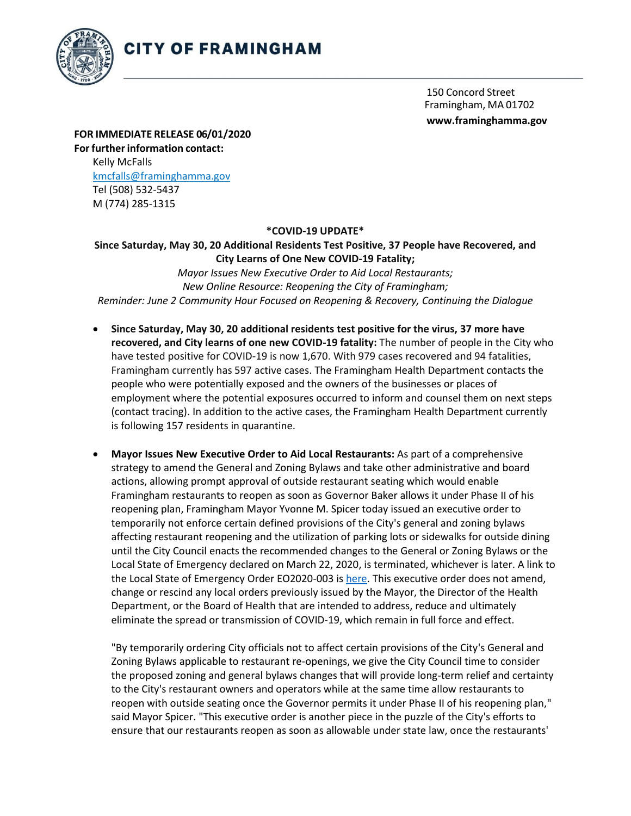

150 Concord Street Framingham, MA 01702 **[www.framinghamma.gov](http://www.framinghamma.gov/)**

**FOR IMMEDIATE RELEASE 06/01/2020 For further information contact:** Kelly McFalls [kmcfalls@framinghamma.gov](mailto:kmcfalls@framinghamma.gov) Tel (508) 532-5437 M (774) 285-1315

## **\*COVID-19 UPDATE\***

**Since Saturday, May 30, 20 Additional Residents Test Positive, 37 People have Recovered, and City Learns of One New COVID-19 Fatality;**

*Mayor Issues New Executive Order to Aid Local Restaurants; New Online Resource: Reopening the City of Framingham; Reminder: June 2 Community Hour Focused on Reopening & Recovery, Continuing the Dialogue*

- **Since Saturday, May 30, 20 additional residents test positive for the virus, 37 more have recovered, and City learns of one new COVID-19 fatality:** The number of people in the City who have tested positive for COVID-19 is now 1,670. With 979 cases recovered and 94 fatalities, Framingham currently has 597 active cases. The Framingham Health Department contacts the people who were potentially exposed and the owners of the businesses or places of employment where the potential exposures occurred to inform and counsel them on next steps (contact tracing). In addition to the active cases, the Framingham Health Department currently is following 157 residents in quarantine.
- **Mayor Issues New Executive Order to Aid Local Restaurants:** As part of a comprehensive strategy to amend the General and Zoning Bylaws and take other administrative and board actions, allowing prompt approval of outside restaurant seating which would enable Framingham restaurants to reopen as soon as Governor Baker allows it under Phase II of his reopening plan, Framingham Mayor Yvonne M. Spicer today issued an executive order to temporarily not enforce certain defined provisions of the City's general and zoning bylaws affecting restaurant reopening and the utilization of parking lots or sidewalks for outside dining until the City Council enacts the recommended changes to the General or Zoning Bylaws or the Local State of Emergency declared on March 22, 2020, is terminated, whichever is later. A link to the Local State of Emergency Order EO2020-003 i[s here.](https://www.framinghamma.gov/DocumentCenter/View/38026/2020-06-EO202-003-Local-State-of-Emergency-Order) This executive order does not amend, change or rescind any local orders previously issued by the Mayor, the Director of the Health Department, or the Board of Health that are intended to address, reduce and ultimately eliminate the spread or transmission of COVID-19, which remain in full force and effect.

"By temporarily ordering City officials not to affect certain provisions of the City's General and Zoning Bylaws applicable to restaurant re-openings, we give the City Council time to consider the proposed zoning and general bylaws changes that will provide long-term relief and certainty to the City's restaurant owners and operators while at the same time allow restaurants to reopen with outside seating once the Governor permits it under Phase II of his reopening plan," said Mayor Spicer. "This executive order is another piece in the puzzle of the City's efforts to ensure that our restaurants reopen as soon as allowable under state law, once the restaurants'